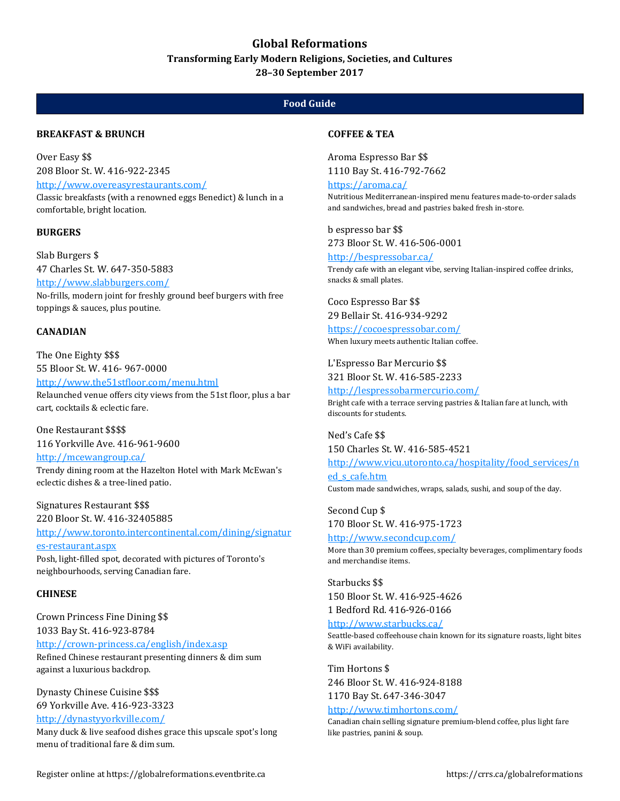# **Global Reformations**

**Transforming Early Modern Religions, Societies, and Cultures**

**28–30 September 2017**

# **Food Guide**

### **BREAKFAST & BRUNCH**

Over Easy \$\$ 208 Bloor St. W. 416-922-2345 <http://www.overeasyrestaurants.com/> Classic breakfasts (with a renowned eggs Benedict) & lunch in a comfortable, bright location.

### **BURGERS**

Slab Burgers \$ 47 Charles St. W. 647-350-5883 <http://www.slabburgers.com/> No-frills, modern joint for freshly ground beef burgers with free toppings & sauces, plus poutine.

### **CANADIAN**

The One Eighty \$\$\$ 55 Bloor St. W. 416- 967-0000 <http://www.the51stfloor.com/menu.html> Relaunched venue offers city views from the 51st floor, plus a bar cart, cocktails & eclectic fare.

One Restaurant \$\$\$\$ 116 Yorkville Ave. 416-961-9600 <http://mcewangroup.ca/> Trendy dining room at the Hazelton Hotel with Mark McEwan's

eclectic dishes & a tree-lined patio. Signatures Restaurant \$\$\$

220 Bloor St. W. 416-32405885

[http://www.toronto.intercontinental.com/dining/signatur](http://www.toronto.intercontinental.com/dining/signatures-restaurant.aspx) [es-restaurant.aspx](http://www.toronto.intercontinental.com/dining/signatures-restaurant.aspx) Posh, light-filled spot, decorated with pictures of Toronto's

neighbourhoods, serving Canadian fare.

### **CHINESE**

Crown Princess Fine Dining \$\$ 1033 Bay St. 416-923-8784 <http://crown-princess.ca/english/index.asp> Refined Chinese restaurant presenting dinners & dim sum against a luxurious backdrop.

Dynasty Chinese Cuisine \$\$\$ 69 Yorkville Ave. 416-923-3323 <http://dynastyyorkville.com/>

Many duck & live seafood dishes grace this upscale spot's long menu of traditional fare & dim sum.

### **COFFEE & TEA**

Aroma Espresso Bar \$\$ 1110 Bay St. 416-792-7662

<https://aroma.ca/>

Nutritious Mediterranean-inspired menu features made-to-order salads and sandwiches, bread and pastries baked fresh in-store.

b espresso bar \$\$ 273 Bloor St. W. 416-506-0001

<http://bespressobar.ca/> Trendy cafe with an elegant vibe, serving Italian-inspired coffee drinks, snacks & small plates.

Coco Espresso Bar \$\$ 29 Bellair St. 416-934-9292

<https://cocoespressobar.com/> When luxury meets authentic Italian coffee.

L'Espresso Bar Mercurio \$\$ 321 Bloor St. W. 416-585-2233

<http://lespressobarmercurio.com/> Bright cafe with a terrace serving pastries & Italian fare at lunch, with discounts for students.

Ned's Cafe \$\$ 150 Charles St. W. 416-585-4521 [http://www.vicu.utoronto.ca/hospitality/food\\_services/n](http://www.vicu.utoronto.ca/hospitality/food_services/ned_s_cafe.htm) [ed\\_s\\_cafe.htm](http://www.vicu.utoronto.ca/hospitality/food_services/ned_s_cafe.htm) Custom made sandwiches, wraps, salads, sushi, and soup of the day.

Second Cup \$ 170 Bloor St. W. 416-975-1723 <http://www.secondcup.com/>

More than 30 premium coffees, specialty beverages, complimentary foods and merchandise items.

Starbucks \$\$ 150 Bloor St. W. 416-925-4626 1 Bedford Rd. 416-926-0166

<http://www.starbucks.ca/>

Seattle-based coffeehouse chain known for its signature roasts, light bites & WiFi availability.

Tim Hortons \$ 246 Bloor St. W. 416-924-8188 1170 Bay St. 647-346-3047

### <http://www.timhortons.com/>

Canadian chain selling signature premium-blend coffee, plus light fare like pastries, panini & soup.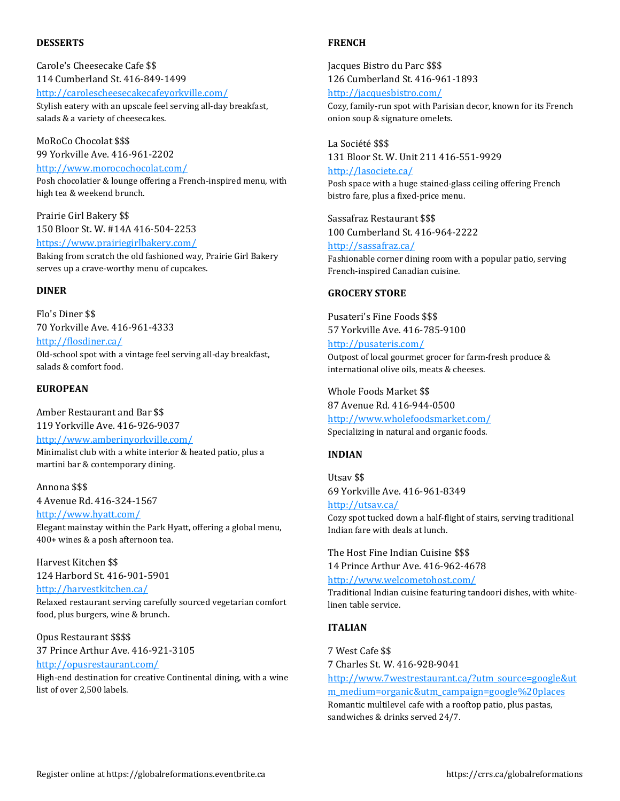#### **DESSERTS**

Carole's Cheesecake Cafe \$\$ 114 Cumberland St. 416-849-1499 <http://carolescheesecakecafeyorkville.com/> Stylish eatery with an upscale feel serving all-day breakfast, salads & a variety of cheesecakes.

MoRoCo Chocolat \$\$\$ 99 Yorkville Ave. 416-961-2202 <http://www.morocochocolat.com/>

Posh chocolatier & lounge offering a French-inspired menu, with high tea & weekend brunch.

Prairie Girl Bakery \$\$ 150 Bloor St. W. #14A 416-504-2253 <https://www.prairiegirlbakery.com/>

Baking from scratch the old fashioned way, Prairie Girl Bakery serves up a crave-worthy menu of cupcakes.

### **DINER**

Flo's Diner \$\$ 70 Yorkville Ave. 416-961-4333 <http://flosdiner.ca/> Old-school spot with a vintage feel serving all-day breakfast, salads & comfort food.

# **EUROPEAN**

Amber Restaurant and Bar \$\$ 119 Yorkville Ave. 416-926-9037 <http://www.amberinyorkville.com/> Minimalist club with a white interior & heated patio, plus a martini bar & contemporary dining.

#### Annona \$\$\$

4 Avenue Rd. 416-324-1567 <http://www.hyatt.com/> Elegant mainstay within the Park Hyatt, offering a global menu, 400+ wines & a posh afternoon tea.

Harvest Kitchen \$\$ 124 Harbord St. 416-901-5901 <http://harvestkitchen.ca/>

Relaxed restaurant serving carefully sourced vegetarian comfort food, plus burgers, wine & brunch.

Opus Restaurant \$\$\$\$ 37 Prince Arthur Ave. 416-921-3105 <http://opusrestaurant.com/>

High-end destination for creative Continental dining, with a wine list of over 2,500 labels.

#### **FRENCH**

Jacques Bistro du Parc \$\$\$ 126 Cumberland St. 416-961-1893 <http://jacquesbistro.com/> Cozy, family-run spot with Parisian decor, known for its French onion soup & signature omelets.

La Société \$\$\$ 131 Bloor St. W. Unit 211 416-551-9929 <http://lasociete.ca/> Posh space with a huge stained-glass ceiling offering French bistro fare, plus a fixed-price menu.

Sassafraz Restaurant \$\$\$ 100 Cumberland St. 416-964-2222 <http://sassafraz.ca/> Fashionable corner dining room with a popular patio, serving French-inspired Canadian cuisine.

### **GROCERY STORE**

Pusateri's Fine Foods \$\$\$ 57 Yorkville Ave. 416-785-9100 <http://pusateris.com/> Outpost of local gourmet grocer for farm-fresh produce & international olive oils, meats & cheeses.

Whole Foods Market \$\$ 87 Avenue Rd. 416-944-0500 <http://www.wholefoodsmarket.com/> Specializing in natural and organic foods.

### **INDIAN**

Utsav \$\$ 69 Yorkville Ave. 416-961-8349

<http://utsav.ca/> Cozy spot tucked down a half-flight of stairs, serving traditional Indian fare with deals at lunch.

The Host Fine Indian Cuisine \$\$\$ 14 Prince Arthur Ave. 416-962-4678 <http://www.welcometohost.com/> Traditional Indian cuisine featuring tandoori dishes, with whitelinen table service.

# **ITALIAN**

7 West Cafe \$\$ 7 Charles St. W. 416-928-9041 [http://www.7westrestaurant.ca/?utm\\_source=google&ut](http://www.7westrestaurant.ca/?utm_source=google&utm_medium=organic&utm_campaign=google%20places) [m\\_medium=organic&utm\\_campaign=google%20places](http://www.7westrestaurant.ca/?utm_source=google&utm_medium=organic&utm_campaign=google%20places) Romantic multilevel cafe with a rooftop patio, plus pastas, sandwiches & drinks served 24/7.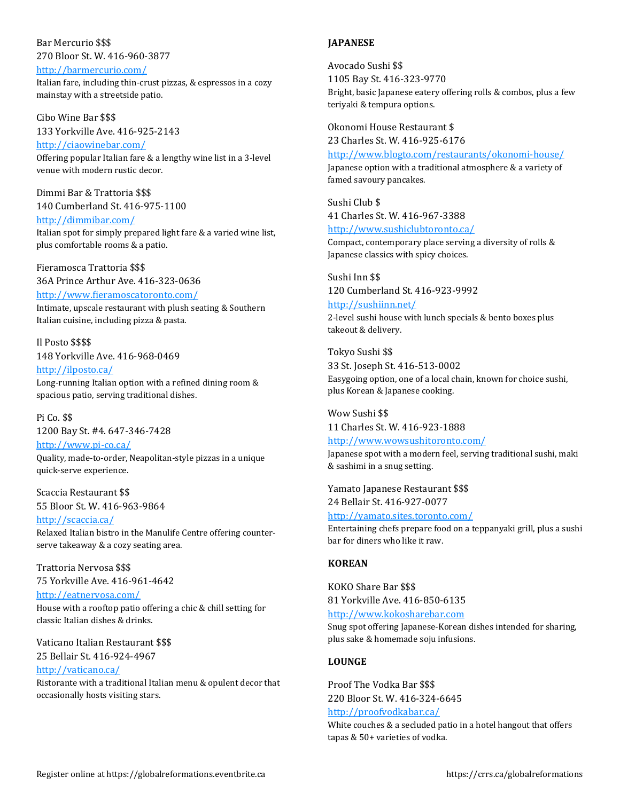## Bar Mercurio \$\$\$ 270 Bloor St. W. 416-960-3877

#### <http://barmercurio.com/>

Italian fare, including thin-crust pizzas, & espressos in a cozy mainstay with a streetside patio.

Cibo Wine Bar \$\$\$ 133 Yorkville Ave. 416-925-2143

<http://ciaowinebar.com/> Offering popular Italian fare & a lengthy wine list in a 3-level venue with modern rustic decor.

Dimmi Bar & Trattoria \$\$\$ 140 Cumberland St. 416-975-1100 <http://dimmibar.com/>

Italian spot for simply prepared light fare & a varied wine list, plus comfortable rooms & a patio.

Fieramosca Trattoria \$\$\$ 36A Prince Arthur Ave. 416-323-0636

<http://www.fieramoscatoronto.com/>

Intimate, upscale restaurant with plush seating & Southern Italian cuisine, including pizza & pasta.

Il Posto \$\$\$\$ 148 Yorkville Ave. 416-968-0469

<http://ilposto.ca/> Long-running Italian option with a refined dining room & spacious patio, serving traditional dishes.

Pi Co. \$\$ 1200 Bay St. #4. 647-346-7428

<http://www.pi-co.ca/> Quality, made-to-order, Neapolitan-style pizzas in a unique quick-serve experience.

Scaccia Restaurant \$\$ 55 Bloor St. W. 416-963-9864

<http://scaccia.ca/> Relaxed Italian bistro in the Manulife Centre offering counterserve takeaway & a cozy seating area.

Trattoria Nervosa \$\$\$ 75 Yorkville Ave. 416-961-4642

<http://eatnervosa.com/> House with a rooftop patio offering a chic & chill setting for classic Italian dishes & drinks.

Vaticano Italian Restaurant \$\$\$ 25 Bellair St. 416-924-4967

<http://vaticano.ca/> Ristorante with a traditional Italian menu & opulent decor that occasionally hosts visiting stars.

### **JAPANESE**

Avocado Sushi \$\$ 1105 Bay St. 416-323-9770 Bright, basic Japanese eatery offering rolls & combos, plus a few teriyaki & tempura options.

Okonomi House Restaurant \$ 23 Charles St. W. 416-925-6176

<http://www.blogto.com/restaurants/okonomi-house/> Japanese option with a traditional atmosphere & a variety of famed savoury pancakes.

Sushi Club \$ 41 Charles St. W. 416-967-3388 <http://www.sushiclubtoronto.ca/> Compact, contemporary place serving a diversity of rolls & Japanese classics with spicy choices.

Sushi Inn \$\$ 120 Cumberland St. 416-923-9992

<http://sushiinn.net/> 2-level sushi house with lunch specials & bento boxes plus takeout & delivery.

Tokyo Sushi \$\$ 33 St. Joseph St. 416-513-0002 Easygoing option, one of a local chain, known for choice sushi, plus Korean & Japanese cooking.

Wow Sushi \$\$ 11 Charles St. W. 416-923-1888

<http://www.wowsushitoronto.com/> Japanese spot with a modern feel, serving traditional sushi, maki & sashimi in a snug setting.

Yamato Japanese Restaurant \$\$\$ 24 Bellair St. 416-927-0077

<http://yamato.sites.toronto.com/> Entertaining chefs prepare food on a teppanyaki grill, plus a sushi bar for diners who like it raw.

### **KOREAN**

KOKO Share Bar \$\$\$ 81 Yorkville Ave. 416-850-6135 [http://www.kokosharebar.com](http://www.kokosharebar.com/) Snug spot offering Japanese-Korean dishes intended for sharing, plus sake & homemade soju infusions.

### **LOUNGE**

Proof The Vodka Bar \$\$\$ 220 Bloor St. W. 416-324-6645 <http://proofvodkabar.ca/>

White couches & a secluded patio in a hotel hangout that offers tapas & 50+ varieties of vodka.